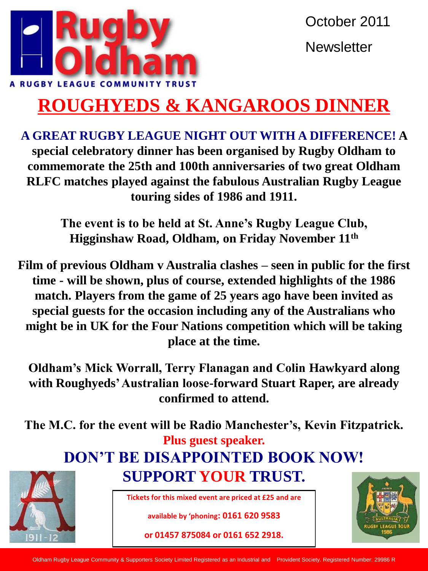

# **ROUGHYEDS & KANGAROOS DINNER**

**A GREAT RUGBY LEAGUE NIGHT OUT WITH A DIFFERENCE! A special celebratory dinner has been organised by Rugby Oldham to commemorate the 25th and 100th anniversaries of two great Oldham RLFC matches played against the fabulous Australian Rugby League touring sides of 1986 and 1911.**

> **The event is to be held at St. Anne's Rugby League Club, Higginshaw Road, Oldham, on Friday November 11th**

**Film of previous Oldham v Australia clashes – seen in public for the first time - will be shown, plus of course, extended highlights of the 1986 match. Players from the game of 25 years ago have been invited as special guests for the occasion including any of the Australians who might be in UK for the Four Nations competition which will be taking place at the time.**

**Oldham's Mick Worrall, Terry Flanagan and Colin Hawkyard along with Roughyeds' Australian loose-forward Stuart Raper, are already confirmed to attend.**

**The M.C. for the event will be Radio Manchester's, Kevin Fitzpatrick. Plus guest speaker.**

## **DON'T BE DISAPPOINTED BOOK NOW!**

**SUPPORT YOUR TRUST.**



**Tickets for this mixed event are priced at £25 and are** 

**available by 'phoning: 0161 620 9583** 

**or 01457 875084 or 0161 652 2918.**